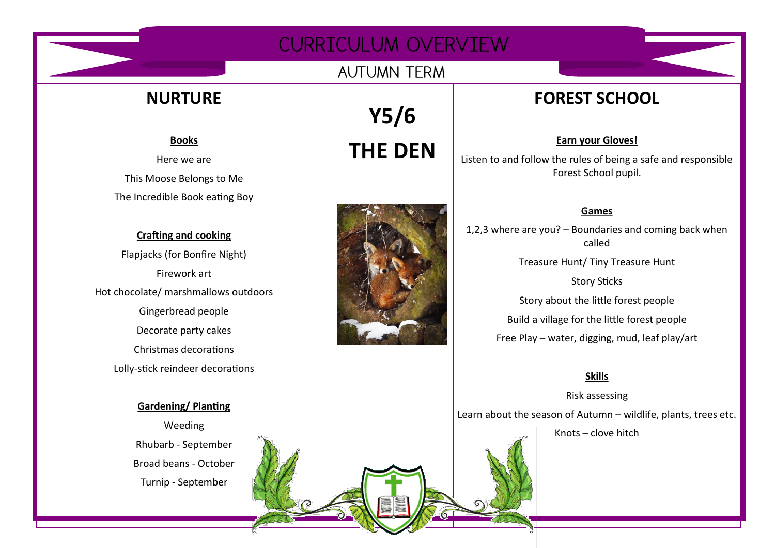# **CURRICULUM OVERVIEW**

### **AUTUMN TERM**

## **NURTURE**

### **Books**

Here we are This Moose Belongs to Me The Incredible Book eating Boy

**Crafting and cooking** Flapjacks (for Bonfire Night) Firework art Hot chocolate/ marshmallows outdoors Gingerbread people Decorate party cakes Christmas decorations Lolly-stick reindeer decorations

#### **Gardening/ Planting**

Weeding Rhubarb - September Broad beans - October Turnip - September

**Y5/6 THE DEN**



# **FOREST SCHOOL**

**Earn your Gloves!**  Listen to and follow the rules of being a safe and responsible Forest School pupil.

#### **Games**

1,2,3 where are you? – Boundaries and coming back when called Treasure Hunt/ Tiny Treasure Hunt

Story Sticks

Story about the little forest people

Build a village for the little forest people Free Play – water, digging, mud, leaf play/art

#### **Skills**

Risk assessing

Learn about the season of Autumn – wildlife, plants, trees etc.

Knots – clove hitch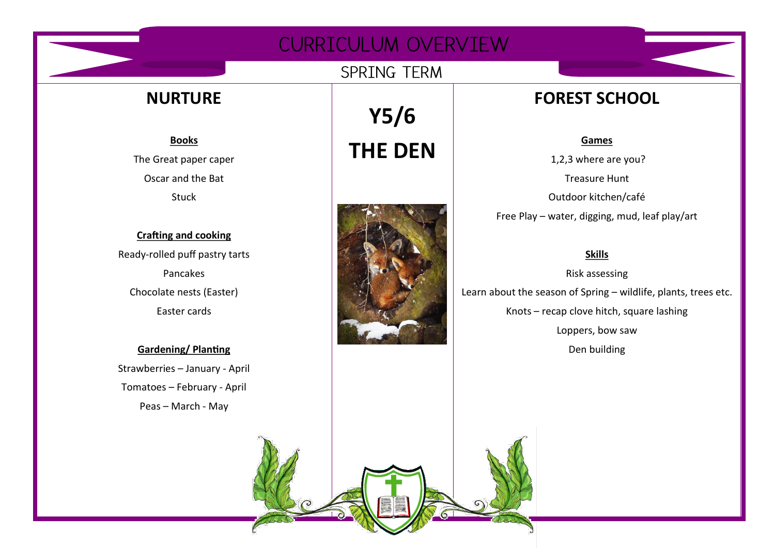# CURRICULUM OVERVIEW

### SPRING TERM

### **NURTURE**

**Books** The Great paper caper Oscar and the Bat Stuck

### **Crafting and cooking** Ready-rolled puff pastry tarts Pancakes Chocolate nests (Easter) Easter cards

**Gardening/ Planting** Strawberries – January - April Tomatoes – February - April Peas – March - May

**Y5/6 THE DEN**



### **FOREST SCHOOL**

#### **Games**

1,2,3 where are you? Treasure Hunt Outdoor kitchen/café Free Play – water, digging, mud, leaf play/art

#### **Skills**

Risk assessing Learn about the season of Spring – wildlife, plants, trees etc. Knots – recap clove hitch, square lashing Loppers, bow saw Den building